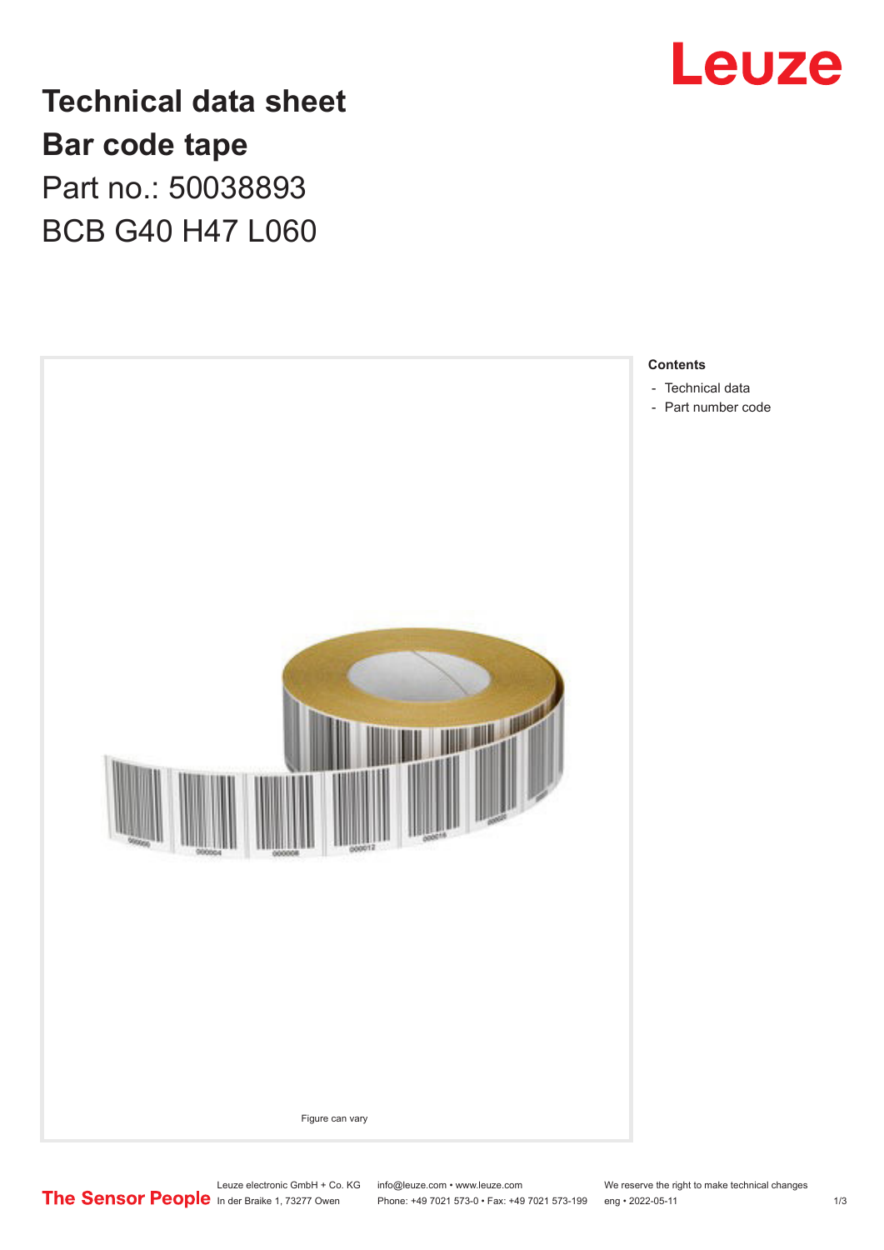

**Technical data sheet Bar code tape** Part no.: 50038893 BCB G40 H47 L060



Leuze electronic GmbH + Co. KG info@leuze.com • www.leuze.com We reserve the right to make technical changes<br>
The Sensor People in der Braike 1, 73277 Owen Phone: +49 7021 573-0 • Fax: +49 7021 573-199 eng • 2022-05-11

Phone: +49 7021 573-0 • Fax: +49 7021 573-199 eng • 2022-05-11 1 2022-05-11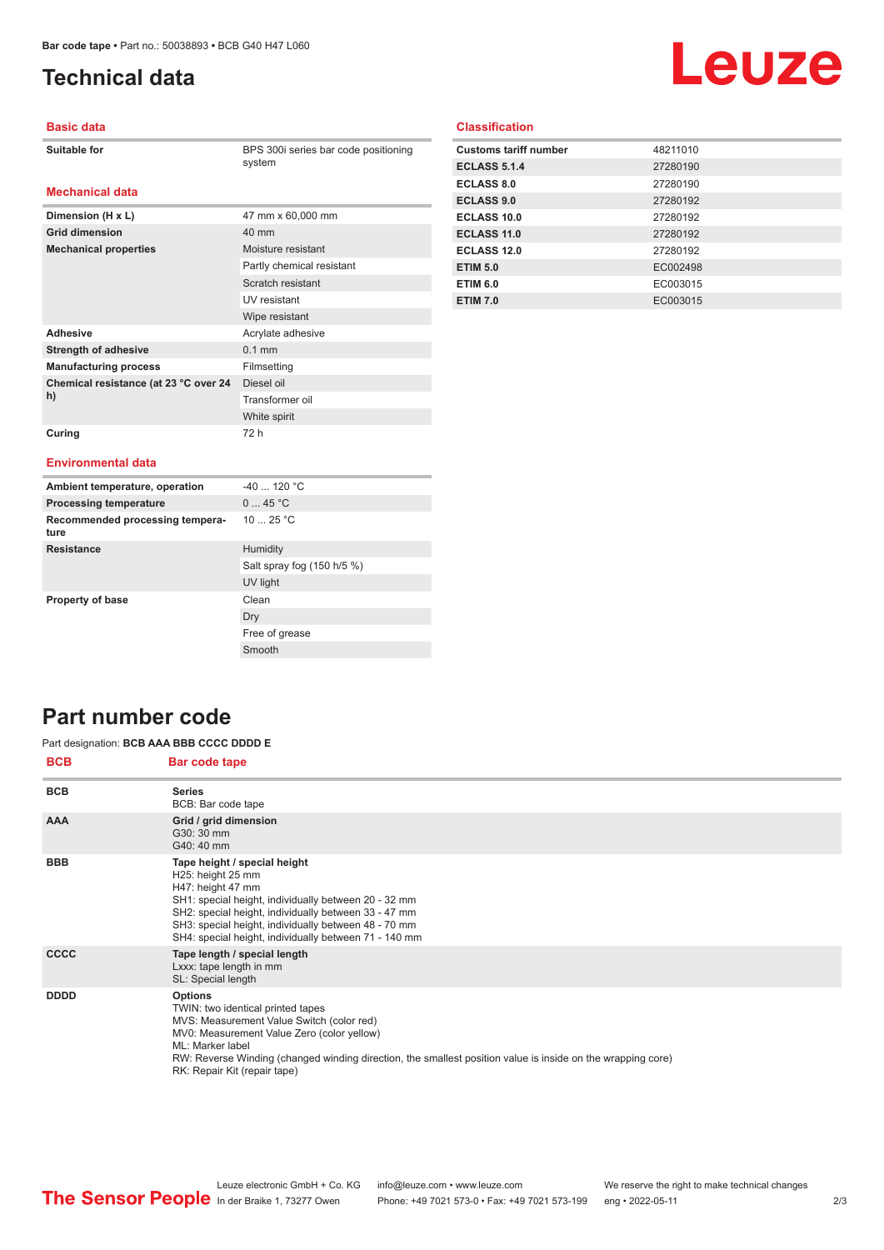**Dimension (H x L)** 47 mm x 60,000 mm

**Mechanical properties** Moisture resistant

Adhesive **Adhesive** Acrylate adhesive **Strength of adhesive** 0.1 mm **Manufacturing process** Filmsetting

**Grid dimension** 40 mm

**Chemical resistance (at 23 °C over 24** 

## <span id="page-1-0"></span>**Technical data**

# Leuze

#### **Basic data**

| Suitable for |
|--------------|
|--------------|

**Mechanical data**

BPS 300i series bar code positioning system

Partly chemical resistant Scratch resistant UV resistant Wipe resistant

Diesel oil Transformer oil White spirit

### **Classification**

| <b>Customs tariff number</b> | 48211010 |
|------------------------------|----------|
| <b>ECLASS 5.1.4</b>          | 27280190 |
| <b>ECLASS 8.0</b>            | 27280190 |
| <b>ECLASS 9.0</b>            | 27280192 |
| ECLASS 10.0                  | 27280192 |
| ECLASS 11.0                  | 27280192 |
| ECLASS 12.0                  | 27280192 |
| <b>ETIM 5.0</b>              | EC002498 |
| <b>ETIM 6.0</b>              | EC003015 |
| <b>ETIM 7.0</b>              | EC003015 |

#### **Curing** 72 h

**h)**

#### **Environmental data**

| Ambient temperature, operation          | $-40$ 120 °C               |
|-----------------------------------------|----------------------------|
| <b>Processing temperature</b>           | 045 °C                     |
| Recommended processing tempera-<br>ture | 10 $25 °C$                 |
| <b>Resistance</b>                       | Humidity                   |
|                                         | Salt spray fog (150 h/5 %) |
|                                         | UV light                   |
| <b>Property of base</b>                 | Clean                      |
|                                         | Dry                        |
|                                         | Free of grease             |
|                                         | Smooth                     |

## **Part number code**

#### Part designation: **BCB AAA BBB CCCC DDDD E**

| <b>BCB</b>  | Bar code tape                                                                                                                                                                                                                                                                                                     |
|-------------|-------------------------------------------------------------------------------------------------------------------------------------------------------------------------------------------------------------------------------------------------------------------------------------------------------------------|
| <b>BCB</b>  | <b>Series</b><br>BCB: Bar code tape                                                                                                                                                                                                                                                                               |
| <b>AAA</b>  | Grid / grid dimension<br>G30: 30 mm<br>G40: 40 mm                                                                                                                                                                                                                                                                 |
| <b>BBB</b>  | Tape height / special height<br>H25: height 25 mm<br>H47: height 47 mm<br>SH1: special height, individually between 20 - 32 mm<br>SH2: special height, individually between 33 - 47 mm<br>SH3: special height, individually between 48 - 70 mm<br>SH4: special height, individually between 71 - 140 mm           |
| <b>CCCC</b> | Tape length / special length<br>Lxxx: tape length in mm<br>SL: Special length                                                                                                                                                                                                                                     |
| <b>DDDD</b> | <b>Options</b><br>TWIN: two identical printed tapes<br>MVS: Measurement Value Switch (color red)<br>MV0: Measurement Value Zero (color yellow)<br>ML: Marker label<br>RW: Reverse Winding (changed winding direction, the smallest position value is inside on the wrapping core)<br>RK: Repair Kit (repair tape) |